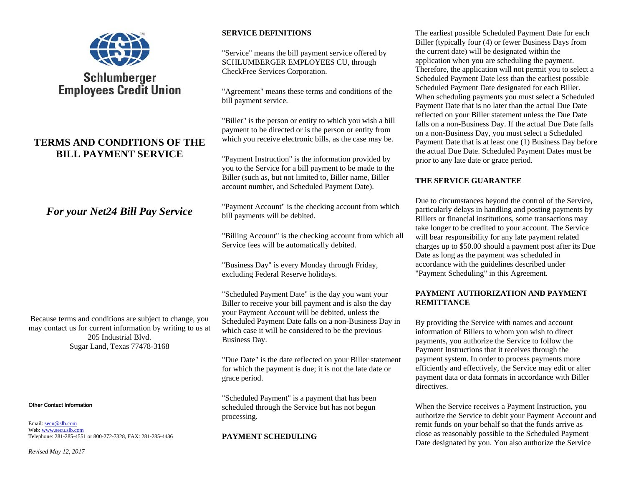

# Schlumberger **Employees Credit Union**

## **TERMS AND CONDITIONS OF THE BILL PAYMENT SERVICE**

## *For your Net24 Bill Pay Service*

Because terms and conditions are subject to change, you may contact us for current information by writing to us at 205 Industrial Blvd. Sugar Land, Texas 77478-3168

#### Other Contact Information

Email: <u>secu@slb.com</u> Web: <u>www.secu.slb.com</u> Telephone: 281-285-4551 or 800-272-7328, FAX: 281-285-4436

## **SERVICE DEFINITIONS**

"Service" means the bill payment service offered by SCHLUMBERGER EMPLOYEES CU, through CheckFree Services Corporation.

"Agreement" means these terms and conditions of the bill payment service.

"Biller" is the person or entity to which you wish a bill payment to be directed or is the person or entity from which you receive electronic bills, as the case may be.

"Payment Instruction" is the information provided by you to the Service for a bill payment to be made to the Biller (such as, but not limited to, Biller name, Biller account number, and Scheduled Payment Date).

"Payment Account" is the checking account from which bill payments will be debited.

"Billing Account" is the checking account from which all Service fees will be automatically debited.

"Business Day" is every Monday through Friday, excluding Federal Reserve holidays.

"Scheduled Payment Date" is the day you want your Biller to receive your bill payment and is also the day your Payment Account will be debited, unless the Scheduled Payment Date falls on a non-Business Day in which case it will be considered to be the previous Business Day.

"Due Date" is the date reflected on your Biller statement for which the payment is due; it is not the late date or grace period.

"Scheduled Payment" is a payment that has been scheduled through the Service but has not begun processing.

#### **PAYMENT SCHEDULING**

The earliest possible Scheduled Payment Date for each Biller (typically four (4) or fewer Business Days from the current date) will be designated within the application when you are scheduling the payment. Therefore, the application will not permit you to select a Scheduled Payment Date less than the earliest possible Scheduled Payment Date designated for each Biller. When scheduling payments you must select a Scheduled Payment Date that is no later than the actual Due Date reflected on your Biller statement unless the Due Date falls on a non-Business Day. If the actual Due Date falls on a non-Business Day, you must select a Scheduled Payment Date that is at least one (1) Business Day before the actual Due Date. Scheduled Payment Dates must be prior to any late date or grace period.

#### **THE SERVICE GUARANTEE**

Due to circumstances beyond the control of the Service, particularly delays in handling and posting payments by Billers or financial institutions, some transactions may take longer to be credited to your account. The Service will bear responsibility for any late payment related charges up to \$50.00 should a payment post after its Due Date as long as the payment was scheduled in accordance with the guidelines described under "Payment Scheduling" in this Agreement.

#### **PAYMENT AUTHORIZATION AND PAYMENT REMITTANCE**

By providing the Service with names and account information of Billers to whom you wish to direct payments, you authorize the Service to follow the Payment Instructions that it receives through the payment system. In order to process payments more efficiently and effectively, the Service may edit or alter payment data or data formats in accordance with Biller directives.

When the Service receives a Payment Instruction, you authorize the Service to debit your Payment Account and remit funds on your behalf so that the funds arrive as close as reasonably possible to the Scheduled Payment Date designated by you. You also authorize the Service

*Revised May 12, 2017*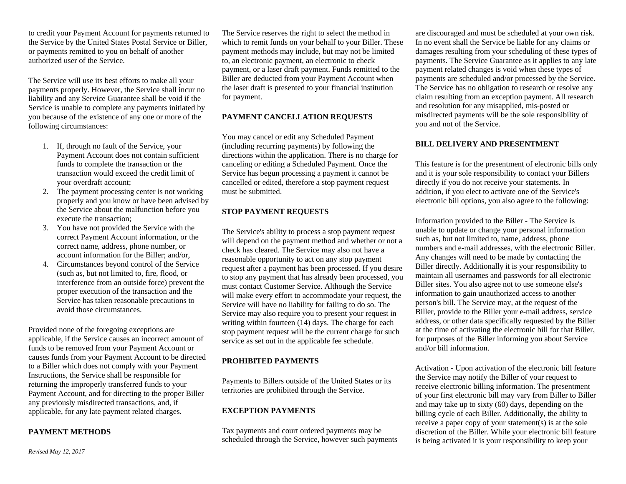to credit your Payment Account for payments returned to the Service by the United States Postal Service or Biller, or payments remitted to you on behalf of another authorized user of the Service.

The Service will use its best efforts to make all your payments properly. However, the Service shall incur no liability and any Service Guarantee shall be void if the Service is unable to complete any payments initiated by you because of the existence of any one or more of the following circumstances:

- 1. If, through no fault of the Service, your Payment Account does not contain sufficient funds to complete the transaction or the transaction would exceed the credit limit of your overdraft account;
- 2. The payment processing center is not working properly and you know or have been advised by the Service about the malfunction before you execute the transaction;
- 3. You have not provided the Service with the correct Payment Account information, or the correct name, address, phone number, or account information for the Biller; and/or,
- 4. Circumstances beyond control of the Service (such as, but not limited to, fire, flood, or interference from an outside force) prevent the proper execution of the transaction and the Service has taken reasonable precautions to avoid those circumstances.

Provided none of the foregoing exceptions are applicable, if the Service causes an incorrect amount of funds to be removed from your Payment Account or causes funds from your Payment Account to be directed to a Biller which does not comply with your Payment Instructions, the Service shall be responsible for returning the improperly transferred funds to your Payment Account, and for directing to the proper Biller any previously misdirected transactions, and, if applicable, for any late payment related charges.

#### **PAYMENT METHODS**

The Service reserves the right to select the method in which to remit funds on your behalf to your Biller. These payment methods may include, but may not be limited to, an electronic payment, an electronic to check payment, or a laser draft payment. Funds remitted to the Biller are deducted from your Payment Account when the laser draft is presented to your financial institution for payment.

## **PAYMENT CANCELLATION REQUESTS**

You may cancel or edit any Scheduled Payment (including recurring payments) by following the directions within the application. There is no charge for canceling or editing a Scheduled Payment. Once the Service has begun processing a payment it cannot be cancelled or edited, therefore a stop payment request must be submitted.

## **STOP PAYMENT REQUESTS**

The Service's ability to process a stop payment request will depend on the payment method and whether or not a check has cleared. The Service may also not have a reasonable opportunity to act on any stop payment request after a payment has been processed. If you desire to stop any payment that has already been processed, you must contact Customer Service. Although the Service will make every effort to accommodate your request, the Service will have no liability for failing to do so. The Service may also require you to present your request in writing within fourteen (14) days. The charge for each stop payment request will be the current charge for such service as set out in the applicable fee schedule.

## **PROHIBITED PAYMENTS**

Payments to Billers outside of the United States or its territories are prohibited through the Service.

## **EXCEPTION PAYMENTS**

Tax payments and court ordered payments may be scheduled through the Service, however such payments

are discouraged and must be scheduled at your own risk. In no event shall the Service be liable for any claims or damages resulting from your scheduling of these types of payments. The Service Guarantee as it applies to any late payment related changes is void when these types of payments are scheduled and/or processed by the Service. The Service has no obligation to research or resolve any claim resulting from an exception payment. All research and resolution for any misapplied, mis-posted or misdirected payments will be the sole responsibility of you and not of the Service.

#### **BILL DELIVERY AND PRESENTMENT**

This feature is for the presentment of electronic bills only and it is your sole responsibility to contact your Billers directly if you do not receive your statements. In addition, if you elect to activate one of the Service's electronic bill options, you also agree to the following:

Information provided to the Biller - The Service is unable to update or change your personal information such as, but not limited to, name, address, phone numbers and e-mail addresses, with the electronic Biller. Any changes will need to be made by contacting the Biller directly. Additionally it is your responsibility to maintain all usernames and passwords for all electronic Biller sites. You also agree not to use someone else's information to gain unauthorized access to another person's bill. The Service may, at the request of the Biller, provide to the Biller your e-mail address, service address, or other data specifically requested by the Biller at the time of activating the electronic bill for that Biller, for purposes of the Biller informing you about Service and/or bill information.

Activation - Upon activation of the electronic bill feature the Service may notify the Biller of your request to receive electronic billing information. The presentment of your first electronic bill may vary from Biller to Biller and may take up to sixty (60) days, depending on the billing cycle of each Biller. Additionally, the ability to receive a paper copy of your statement(s) is at the sole discretion of the Biller. While your electronic bill feature is being activated it is your responsibility to keep your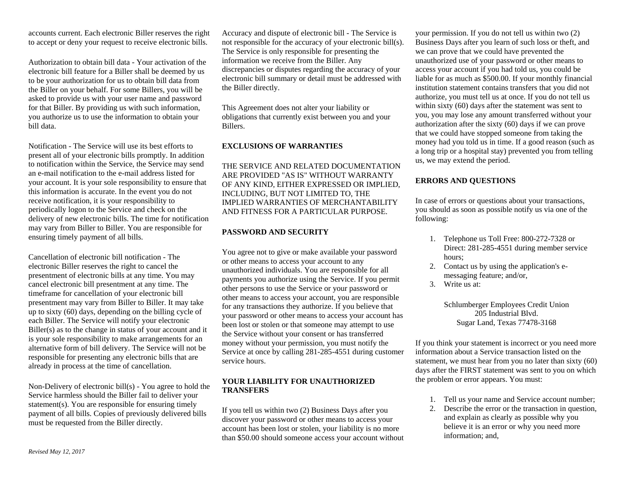accounts current. Each electronic Biller reserves the right to accept or deny your request to receive electronic bills.

Authorization to obtain bill data - Your activation of the electronic bill feature for a Biller shall be deemed by us to be your authorization for us to obtain bill data from the Biller on your behalf. For some Billers, you will be asked to provide us with your user name and password for that Biller. By providing us with such information, you authorize us to use the information to obtain your bill data.

Notification - The Service will use its best efforts to present all of your electronic bills promptly. In addition to notification within the Service, the Service may send an e-mail notification to the e-mail address listed for your account. It is your sole responsibility to ensure that this information is accurate. In the event you do not receive notification, it is your responsibility to periodically logon to the Service and check on the delivery of new electronic bills. The time for notification may vary from Biller to Biller. You are responsible for ensuring timely payment of all bills.

Cancellation of electronic bill notification - The electronic Biller reserves the right to cancel the presentment of electronic bills at any time. You may cancel electronic bill presentment at any time. The timeframe for cancellation of your electronic bill presentment may vary from Biller to Biller. It may take up to sixty (60) days, depending on the billing cycle of each Biller. The Service will notify your electronic Biller(s) as to the change in status of your account and it is your sole responsibility to make arrangements for an alternative form of bill delivery. The Service will not be responsible for presenting any electronic bills that are already in process at the time of cancellation.

Non-Delivery of electronic bill(s) - You agree to hold the Service harmless should the Biller fail to deliver your statement(s). You are responsible for ensuring timely payment of all bills. Copies of previously delivered bills must be requested from the Biller directly.

Accuracy and dispute of electronic bill - The Service is not responsible for the accuracy of your electronic bill(s). The Service is only responsible for presenting the information we receive from the Biller. Any discrepancies or disputes regarding the accuracy of your electronic bill summary or detail must be addressed with the Biller directly.

This Agreement does not alter your liability or obligations that currently exist between you and your Billers.

#### **EXCLUSIONS OF WARRANTIES**

THE SERVICE AND RELATED DOCUMENTATION ARE PROVIDED "AS IS" WITHOUT WARRANTY OF ANY KIND, EITHER EXPRESSED OR IMPLIED, INCLUDING, BUT NOT LIMITED TO, THE IMPLIED WARRANTIES OF MERCHANTABILITY AND FITNESS FOR A PARTICULAR PURPOSE.

#### **PASSWORD AND SECURITY**

You agree not to give or make available your password or other means to access your account to any unauthorized individuals. You are responsible for all payments you authorize using the Service. If you permit other persons to use the Service or your password or other means to access your account, you are responsible for any transactions they authorize. If you believe that your password or other means to access your account has been lost or stolen or that someone may attempt to use the Service without your consent or has transferred money without your permission, you must notify the Service at once by calling 281-285-4551 during customer service hours.

#### **YOUR LIABILITY FOR UNAUTHORIZED TRANSFERS**

If you tell us within two (2) Business Days after you discover your password or other means to access your account has been lost or stolen, your liability is no more than \$50.00 should someone access your account without

your permission. If you do not tell us within two (2) Business Days after you learn of such loss or theft, and we can prove that we could have prevented the unauthorized use of your password or other means to access your account if you had told us, you could be liable for as much as \$500.00. If your monthly financial institution statement contains transfers that you did not authorize, you must tell us at once. If you do not tell us within sixty (60) days after the statement was sent to you, you may lose any amount transferred without your authorization after the sixty (60) days if we can prove that we could have stopped someone from taking the money had you told us in time. If a good reason (such as a long trip or a hospital stay) prevented you from telling us, we may extend the period.

#### **ERRORS AND QUESTIONS**

In case of errors or questions about your transactions, you should as soon as possible notify us via one of the following:

- 1. Telephone us Toll Free: 800-272-7328 or Direct: 281-285-4551 during member service hours;
- 2. Contact us by using the application's emessaging feature; and/or,
- 3. Write us at:

Schlumberger Employees Credit Union 205 Industrial Blvd. Sugar Land, Texas 77478-3168

If you think your statement is incorrect or you need more information about a Service transaction listed on the statement, we must hear from you no later than sixty (60) days after the FIRST statement was sent to you on which the problem or error appears. You must:

- 1. Tell us your name and Service account number;
- 2. Describe the error or the transaction in question, and explain as clearly as possible why you believe it is an error or why you need more information; and,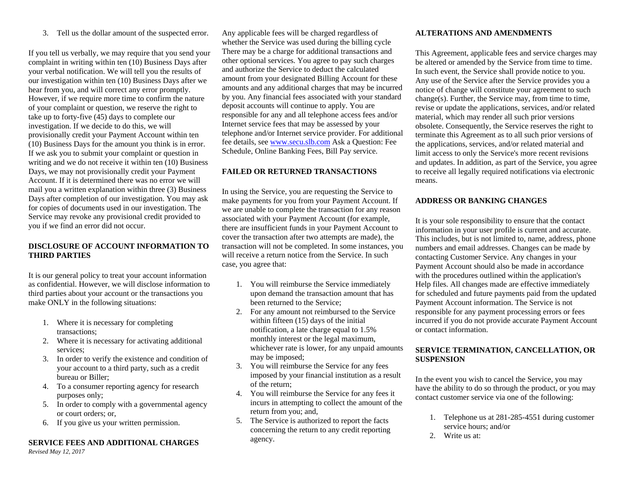3. Tell us the dollar amount of the suspected error.

If you tell us verbally, we may require that you send your complaint in writing within ten (10) Business Days after your verbal notification. We will tell you the results of our investigation within ten (10) Business Days after we hear from you, and will correct any error promptly. However, if we require more time to confirm the nature of your complaint or question, we reserve the right to take up to forty-five (45) days to complete our investigation. If we decide to do this, we will provisionally credit your Payment Account within ten (10) Business Days for the amount you think is in error. If we ask you to submit your complaint or question in writing and we do not receive it within ten (10) Business Days, we may not provisionally credit your Payment Account. If it is determined there was no error we will mail you a written explanation within three (3) Business Days after completion of our investigation. You may ask for copies of documents used in our investigation. The Service may revoke any provisional credit provided to you if we find an error did not occur.

#### **DISCLOSURE OF ACCOUNT INFORMATION TO THIRD PARTIES**

It is our general policy to treat your account information as confidential. However, we will disclose information to third parties about your account or the transactions you make ONLY in the following situations:

- 1. Where it is necessary for completing transactions;
- 2. Where it is necessary for activating additional services;
- 3. In order to verify the existence and condition of your account to a third party, such as a credit bureau or Biller;
- 4. To a consumer reporting agency for research purposes only;
- 5. In order to comply with a governmental agency or court orders; or,
- 6. If you give us your written permission.

## **SERVICE FEES AND ADDITIONAL CHARGES**

*Revised May 12, 2017*

Any applicable fees will be charged regardless of whether the Service was used during the billing cycle There may be a charge for additional transactions and other optional services. You agree to pay such charges and authorize the Service to deduct the calculated amount from your designated Billing Account for these amounts and any additional charges that may be incurred by you. Any financial fees associated with your standard deposit accounts will continue to apply. You are responsible for any and all telephone access fees and/or Internet service fees that may be assessed by your telephone and/or Internet service provider. For additional fee details, see www.secu.slb.com Ask a Question: Fee Schedule, Online Banking Fees, Bill Pay service.

## **FAILED OR RETURNED TRANSACTIONS**

In using the Service, you are requesting the Service to make payments for you from your Payment Account. If we are unable to complete the transaction for any reason associated with your Payment Account (for example, there are insufficient funds in your Payment Account to cover the transaction after two attempts are made), the transaction will not be completed. In some instances, you will receive a return notice from the Service. In such case, you agree that:

- 1. You will reimburse the Service immediately upon demand the transaction amount that has been returned to the Service;
- 2. For any amount not reimbursed to the Service within fifteen (15) days of the initial notification, a late charge equal to 1.5% monthly interest or the legal maximum, whichever rate is lower, for any unpaid amounts may be imposed;
- 3. You will reimburse the Service for any fees imposed by your financial institution as a result of the return;
- 4. You will reimburse the Service for any fees it incurs in attempting to collect the amount of the return from you; and,
- 5. The Service is authorized to report the facts concerning the return to any credit reporting agency.

## **ALTERATIONS AND AMENDMENTS**

This Agreement, applicable fees and service charges may be altered or amended by the Service from time to time. In such event, the Service shall provide notice to you. Any use of the Service after the Service provides you a notice of change will constitute your agreement to such change(s). Further, the Service may, from time to time, revise or update the applications, services, and/or related material, which may render all such prior versions obsolete. Consequently, the Service reserves the right to terminate this Agreement as to all such prior versions of the applications, services, and/or related material and limit access to only the Service's more recent revisions and updates. In addition, as part of the Service, you agree to receive all legally required notifications via electronic means.

## **ADDRESS OR BANKING CHANGES**

It is your sole responsibility to ensure that the contact information in your user profile is current and accurate. This includes, but is not limited to, name, address, phone numbers and email addresses. Changes can be made by contacting Customer Service. Any changes in your Payment Account should also be made in accordance with the procedures outlined within the application's Help files. All changes made are effective immediately for scheduled and future payments paid from the updated Payment Account information. The Service is not responsible for any payment processing errors or fees incurred if you do not provide accurate Payment Account or contact information.

#### **SERVICE TERMINATION, CANCELLATION, OR SUSPENSION**

In the event you wish to cancel the Service, you may have the ability to do so through the product, or you may contact customer service via one of the following:

- 1. Telephone us at 281-285-4551 during customer service hours; and/or
- 2. Write us at: